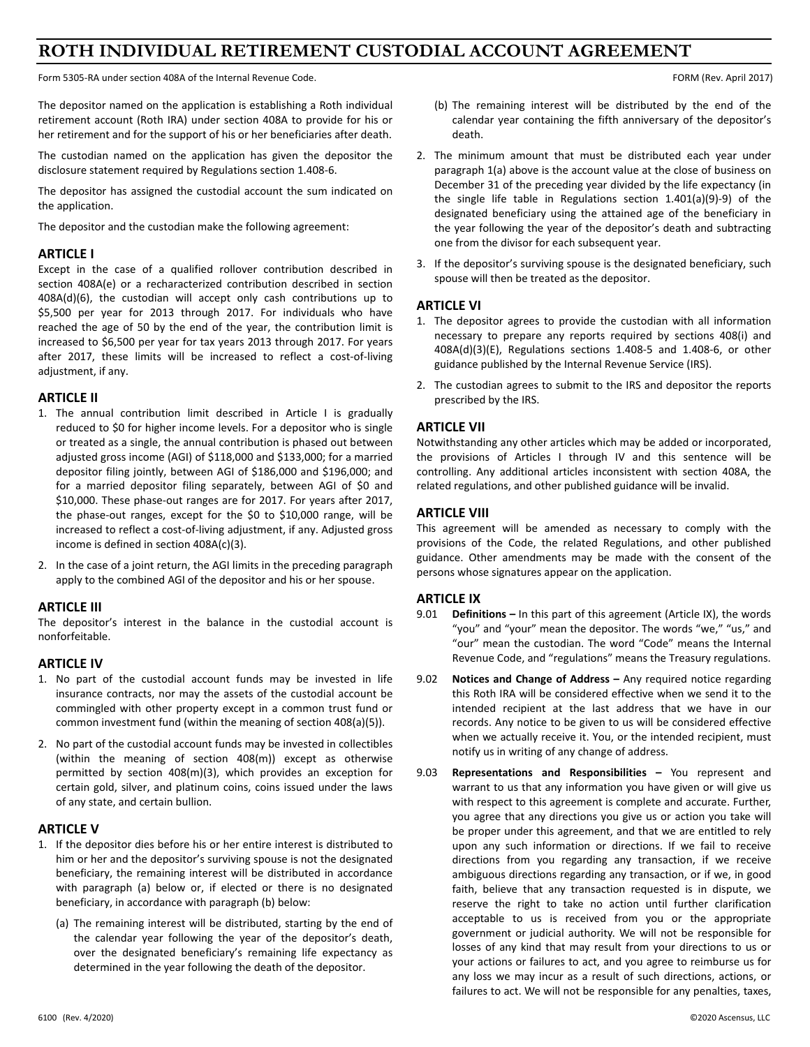# **ROTH INDIVIDUAL RETIREMENT CUSTODIAL ACCOUNT AGREEMENT**

Form 5305‐RA under section 408A of the Internal Revenue Code. FORM (Rev. April 2017)

The depositor named on the application is establishing a Roth individual retirement account (Roth IRA) under section 408A to provide for his or her retirement and for the support of his or her beneficiaries after death.

The custodian named on the application has given the depositor the disclosure statement required by Regulations section 1.408‐6.

The depositor has assigned the custodial account the sum indicated on the application.

The depositor and the custodian make the following agreement:

# **ARTICLE I**

Except in the case of a qualified rollover contribution described in section 408A(e) or a recharacterized contribution described in section 408A(d)(6), the custodian will accept only cash contributions up to \$5,500 per year for 2013 through 2017. For individuals who have reached the age of 50 by the end of the year, the contribution limit is increased to \$6,500 per year for tax years 2013 through 2017. For years after 2017, these limits will be increased to reflect a cost-of-living adjustment, if any.

#### **ARTICLE II**

- 1. The annual contribution limit described in Article I is gradually reduced to \$0 for higher income levels. For a depositor who is single or treated as a single, the annual contribution is phased out between adjusted gross income (AGI) of \$118,000 and \$133,000; for a married depositor filing jointly, between AGI of \$186,000 and \$196,000; and for a married depositor filing separately, between AGI of \$0 and \$10,000. These phase‐out ranges are for 2017. For years after 2017, the phase-out ranges, except for the \$0 to \$10,000 range, will be increased to reflect a cost‐of‐living adjustment, if any. Adjusted gross income is defined in section 408A(c)(3).
- 2. In the case of a joint return, the AGI limits in the preceding paragraph apply to the combined AGI of the depositor and his or her spouse.

# **ARTICLE III**

The depositor's interest in the balance in the custodial account is nonforfeitable.

# **ARTICLE IV**

- 1. No part of the custodial account funds may be invested in life insurance contracts, nor may the assets of the custodial account be commingled with other property except in a common trust fund or common investment fund (within the meaning of section 408(a)(5)).
- 2. No part of the custodial account funds may be invested in collectibles (within the meaning of section 408(m)) except as otherwise permitted by section 408(m)(3), which provides an exception for certain gold, silver, and platinum coins, coins issued under the laws of any state, and certain bullion.

#### **ARTICLE V**

- 1. If the depositor dies before his or her entire interest is distributed to him or her and the depositor's surviving spouse is not the designated beneficiary, the remaining interest will be distributed in accordance with paragraph (a) below or, if elected or there is no designated beneficiary, in accordance with paragraph (b) below:
	- (a) The remaining interest will be distributed, starting by the end of the calendar year following the year of the depositor's death, over the designated beneficiary's remaining life expectancy as determined in the year following the death of the depositor.
- (b) The remaining interest will be distributed by the end of the calendar year containing the fifth anniversary of the depositor's death.
- 2. The minimum amount that must be distributed each year under paragraph 1(a) above is the account value at the close of business on December 31 of the preceding year divided by the life expectancy (in the single life table in Regulations section  $1.401(a)(9)-9$ ) of the designated beneficiary using the attained age of the beneficiary in the year following the year of the depositor's death and subtracting one from the divisor for each subsequent year.
- 3. If the depositor's surviving spouse is the designated beneficiary, such spouse will then be treated as the depositor.

# **ARTICLE VI**

- 1. The depositor agrees to provide the custodian with all information necessary to prepare any reports required by sections 408(i) and 408A(d)(3)(E), Regulations sections 1.408‐5 and 1.408‐6, or other guidance published by the Internal Revenue Service (IRS).
- 2. The custodian agrees to submit to the IRS and depositor the reports prescribed by the IRS.

# **ARTICLE VII**

Notwithstanding any other articles which may be added or incorporated, the provisions of Articles I through IV and this sentence will be controlling. Any additional articles inconsistent with section 408A, the related regulations, and other published guidance will be invalid.

# **ARTICLE VIII**

This agreement will be amended as necessary to comply with the provisions of the Code, the related Regulations, and other published guidance. Other amendments may be made with the consent of the persons whose signatures appear on the application.

# **ARTICLE IX**

- 9.01 **Definitions –** In this part of this agreement (Article IX), the words "you" and "your" mean the depositor. The words "we," "us," and "our" mean the custodian. The word "Code" means the Internal Revenue Code, and "regulations" means the Treasury regulations.
- 9.02 **Notices and Change of Address** Any required notice regarding this Roth IRA will be considered effective when we send it to the intended recipient at the last address that we have in our records. Any notice to be given to us will be considered effective when we actually receive it. You, or the intended recipient, must notify us in writing of any change of address.
- 9.03 **Representations and Responsibilities**  You represent and warrant to us that any information you have given or will give us with respect to this agreement is complete and accurate. Further, you agree that any directions you give us or action you take will be proper under this agreement, and that we are entitled to rely upon any such information or directions. If we fail to receive directions from you regarding any transaction, if we receive ambiguous directions regarding any transaction, or if we, in good faith, believe that any transaction requested is in dispute, we reserve the right to take no action until further clarification acceptable to us is received from you or the appropriate government or judicial authority. We will not be responsible for losses of any kind that may result from your directions to us or your actions or failures to act, and you agree to reimburse us for any loss we may incur as a result of such directions, actions, or failures to act. We will not be responsible for any penalties, taxes,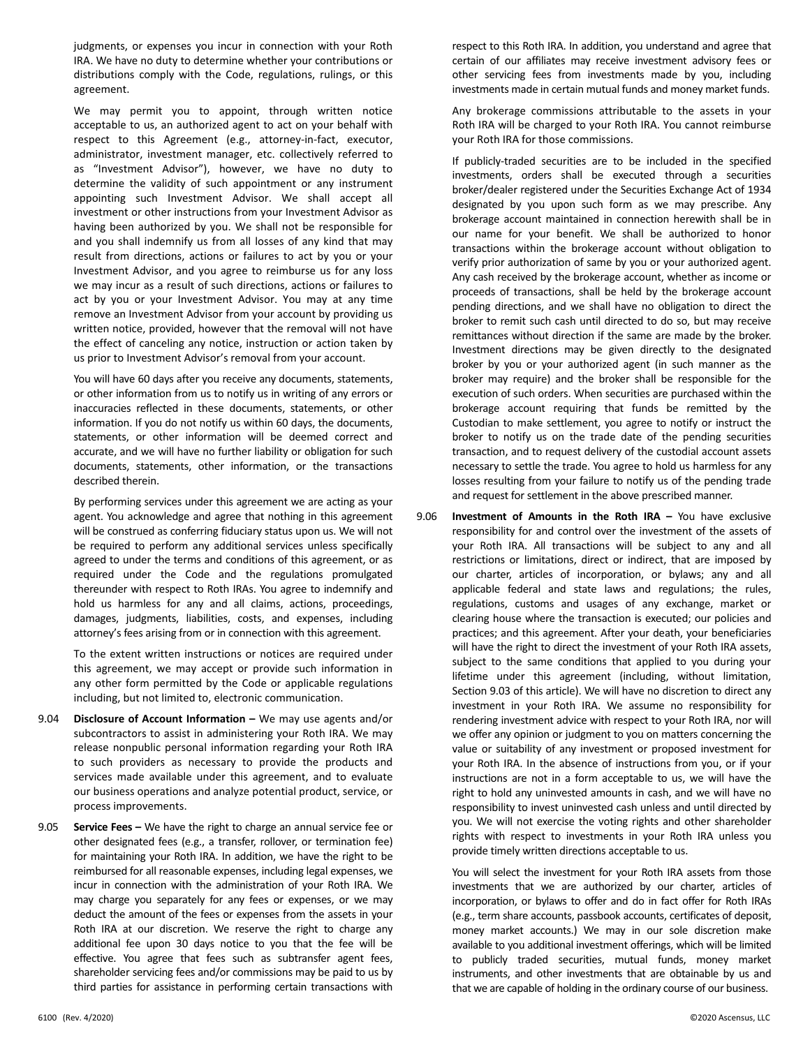judgments, or expenses you incur in connection with your Roth IRA. We have no duty to determine whether your contributions or distributions comply with the Code, regulations, rulings, or this agreement.

We may permit you to appoint, through written notice acceptable to us, an authorized agent to act on your behalf with respect to this Agreement (e.g., attorney-in-fact, executor, administrator, investment manager, etc. collectively referred to as "Investment Advisor"), however, we have no duty to determine the validity of such appointment or any instrument appointing such Investment Advisor. We shall accept all investment or other instructions from your Investment Advisor as having been authorized by you. We shall not be responsible for and you shall indemnify us from all losses of any kind that may result from directions, actions or failures to act by you or your Investment Advisor, and you agree to reimburse us for any loss we may incur as a result of such directions, actions or failures to act by you or your Investment Advisor. You may at any time remove an Investment Advisor from your account by providing us written notice, provided, however that the removal will not have the effect of canceling any notice, instruction or action taken by us prior to Investment Advisor's removal from your account.

 You will have 60 days after you receive any documents, statements, or other information from us to notify us in writing of any errors or inaccuracies reflected in these documents, statements, or other information. If you do not notify us within 60 days, the documents, statements, or other information will be deemed correct and accurate, and we will have no further liability or obligation for such documents, statements, other information, or the transactions described therein.

 By performing services under this agreement we are acting as your agent. You acknowledge and agree that nothing in this agreement will be construed as conferring fiduciary status upon us. We will not be required to perform any additional services unless specifically agreed to under the terms and conditions of this agreement, or as required under the Code and the regulations promulgated thereunder with respect to Roth IRAs. You agree to indemnify and hold us harmless for any and all claims, actions, proceedings, damages, judgments, liabilities, costs, and expenses, including attorney's fees arising from or in connection with this agreement.

 To the extent written instructions or notices are required under this agreement, we may accept or provide such information in any other form permitted by the Code or applicable regulations including, but not limited to, electronic communication.

- 9.04 **Disclosure of Account Information –** We may use agents and/or subcontractors to assist in administering your Roth IRA. We may release nonpublic personal information regarding your Roth IRA to such providers as necessary to provide the products and services made available under this agreement, and to evaluate our business operations and analyze potential product, service, or process improvements.
- 9.05 **Service Fees –** We have the right to charge an annual service fee or other designated fees (e.g., a transfer, rollover, or termination fee) for maintaining your Roth IRA. In addition, we have the right to be reimbursed for all reasonable expenses, including legal expenses, we incur in connection with the administration of your Roth IRA. We may charge you separately for any fees or expenses, or we may deduct the amount of the fees or expenses from the assets in your Roth IRA at our discretion. We reserve the right to charge any additional fee upon 30 days notice to you that the fee will be effective. You agree that fees such as subtransfer agent fees, shareholder servicing fees and/or commissions may be paid to us by third parties for assistance in performing certain transactions with

respect to this Roth IRA. In addition, you understand and agree that certain of our affiliates may receive investment advisory fees or other servicing fees from investments made by you, including investments made in certain mutual funds and money market funds.

 Any brokerage commissions attributable to the assets in your Roth IRA will be charged to your Roth IRA. You cannot reimburse your Roth IRA for those commissions.

- If publicly‐traded securities are to be included in the specified investments, orders shall be executed through a securities broker/dealer registered under the Securities Exchange Act of 1934 designated by you upon such form as we may prescribe. Any brokerage account maintained in connection herewith shall be in our name for your benefit. We shall be authorized to honor transactions within the brokerage account without obligation to verify prior authorization of same by you or your authorized agent. Any cash received by the brokerage account, whether as income or proceeds of transactions, shall be held by the brokerage account pending directions, and we shall have no obligation to direct the broker to remit such cash until directed to do so, but may receive remittances without direction if the same are made by the broker. Investment directions may be given directly to the designated broker by you or your authorized agent (in such manner as the broker may require) and the broker shall be responsible for the execution of such orders. When securities are purchased within the brokerage account requiring that funds be remitted by the Custodian to make settlement, you agree to notify or instruct the broker to notify us on the trade date of the pending securities transaction, and to request delivery of the custodial account assets necessary to settle the trade. You agree to hold us harmless for any losses resulting from your failure to notify us of the pending trade and request for settlement in the above prescribed manner.
- 9.06 **Investment of Amounts in the Roth IRA**  You have exclusive responsibility for and control over the investment of the assets of your Roth IRA. All transactions will be subject to any and all restrictions or limitations, direct or indirect, that are imposed by our charter, articles of incorporation, or bylaws; any and all applicable federal and state laws and regulations; the rules, regulations, customs and usages of any exchange, market or clearing house where the transaction is executed; our policies and practices; and this agreement. After your death, your beneficiaries will have the right to direct the investment of your Roth IRA assets, subject to the same conditions that applied to you during your lifetime under this agreement (including, without limitation, Section 9.03 of this article). We will have no discretion to direct any investment in your Roth IRA. We assume no responsibility for rendering investment advice with respect to your Roth IRA, nor will we offer any opinion or judgment to you on matters concerning the value or suitability of any investment or proposed investment for your Roth IRA. In the absence of instructions from you, or if your instructions are not in a form acceptable to us, we will have the right to hold any uninvested amounts in cash, and we will have no responsibility to invest uninvested cash unless and until directed by you. We will not exercise the voting rights and other shareholder rights with respect to investments in your Roth IRA unless you provide timely written directions acceptable to us.

You will select the investment for your Roth IRA assets from those investments that we are authorized by our charter, articles of incorporation, or bylaws to offer and do in fact offer for Roth IRAs (e.g., term share accounts, passbook accounts, certificates of deposit, money market accounts.) We may in our sole discretion make available to you additional investment offerings, which will be limited to publicly traded securities, mutual funds, money market instruments, and other investments that are obtainable by us and that we are capable of holding in the ordinary course of our business.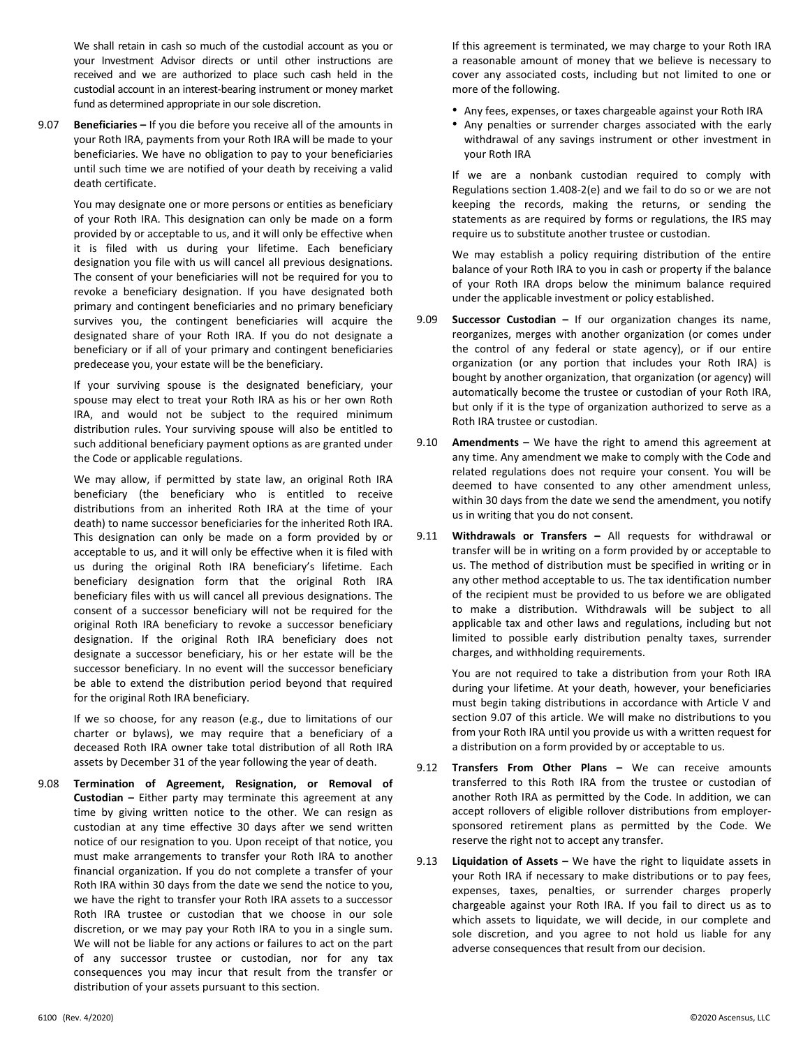We shall retain in cash so much of the custodial account as you or your Investment Advisor directs or until other instructions are received and we are authorized to place such cash held in the custodial account in an interest‐bearing instrument or money market fund as determined appropriate in our sole discretion.

9.07 **Beneficiaries –** If you die before you receive all of the amounts in your Roth IRA, payments from your Roth IRA will be made to your beneficiaries. We have no obligation to pay to your beneficiaries until such time we are notified of your death by receiving a valid death certificate.

 You may designate one or more persons or entities as beneficiary of your Roth IRA. This designation can only be made on a form provided by or acceptable to us, and it will only be effective when it is filed with us during your lifetime. Each beneficiary designation you file with us will cancel all previous designations. The consent of your beneficiaries will not be required for you to revoke a beneficiary designation. If you have designated both primary and contingent beneficiaries and no primary beneficiary survives you, the contingent beneficiaries will acquire the designated share of your Roth IRA. If you do not designate a beneficiary or if all of your primary and contingent beneficiaries predecease you, your estate will be the beneficiary.

 If your surviving spouse is the designated beneficiary, your spouse may elect to treat your Roth IRA as his or her own Roth IRA, and would not be subject to the required minimum distribution rules. Your surviving spouse will also be entitled to such additional beneficiary payment options as are granted under the Code or applicable regulations.

 We may allow, if permitted by state law, an original Roth IRA beneficiary (the beneficiary who is entitled to receive distributions from an inherited Roth IRA at the time of your death) to name successor beneficiaries for the inherited Roth IRA. This designation can only be made on a form provided by or acceptable to us, and it will only be effective when it is filed with us during the original Roth IRA beneficiary's lifetime. Each beneficiary designation form that the original Roth IRA beneficiary files with us will cancel all previous designations. The consent of a successor beneficiary will not be required for the original Roth IRA beneficiary to revoke a successor beneficiary designation. If the original Roth IRA beneficiary does not designate a successor beneficiary, his or her estate will be the successor beneficiary. In no event will the successor beneficiary be able to extend the distribution period beyond that required for the original Roth IRA beneficiary.

If we so choose, for any reason (e.g., due to limitations of our charter or bylaws), we may require that a beneficiary of a deceased Roth IRA owner take total distribution of all Roth IRA assets by December 31 of the year following the year of death.

9.08 **Termination of Agreement, Resignation, or Removal of Custodian –**  Either party may terminate this agreement at any time by giving written notice to the other. We can resign as custodian at any time effective 30 days after we send written notice of our resignation to you. Upon receipt of that notice, you must make arrangements to transfer your Roth IRA to another financial organization. If you do not complete a transfer of your Roth IRA within 30 days from the date we send the notice to you, we have the right to transfer your Roth IRA assets to a successor Roth IRA trustee or custodian that we choose in our sole discretion, or we may pay your Roth IRA to you in a single sum. We will not be liable for any actions or failures to act on the part of any successor trustee or custodian, nor for any tax consequences you may incur that result from the transfer or distribution of your assets pursuant to this section.

 If this agreement is terminated, we may charge to your Roth IRA a reasonable amount of money that we believe is necessary to cover any associated costs, including but not limited to one or more of the following.

- Any fees, expenses, or taxes chargeable against your Roth IRA
- Any penalties or surrender charges associated with the early withdrawal of any savings instrument or other investment in your Roth IRA

 If we are a nonbank custodian required to comply with Regulations section 1.408‐2(e) and we fail to do so or we are not keeping the records, making the returns, or sending the statements as are required by forms or regulations, the IRS may require us to substitute another trustee or custodian.

We may establish a policy requiring distribution of the entire balance of your Roth IRA to you in cash or property if the balance of your Roth IRA drops below the minimum balance required under the applicable investment or policy established.

- 9.09 **Successor Custodian -** If our organization changes its name, reorganizes, merges with another organization (or comes under the control of any federal or state agency), or if our entire organization (or any portion that includes your Roth IRA) is bought by another organization, that organization (or agency) will automatically become the trustee or custodian of your Roth IRA, but only if it is the type of organization authorized to serve as a Roth IRA trustee or custodian.
- 9.10 **Amendments** We have the right to amend this agreement at any time. Any amendment we make to comply with the Code and related regulations does not require your consent. You will be deemed to have consented to any other amendment unless, within 30 days from the date we send the amendment, you notify us in writing that you do not consent.
- 9.11 **Withdrawals or Transfers –** All requests for withdrawal or transfer will be in writing on a form provided by or acceptable to us. The method of distribution must be specified in writing or in any other method acceptable to us. The tax identification number of the recipient must be provided to us before we are obligated to make a distribution. Withdrawals will be subject to all applicable tax and other laws and regulations, including but not limited to possible early distribution penalty taxes, surrender charges, and withholding requirements.

You are not required to take a distribution from your Roth IRA during your lifetime. At your death, however, your beneficiaries must begin taking distributions in accordance with Article V and section 9.07 of this article. We will make no distributions to you from your Roth IRA until you provide us with a written request for a distribution on a form provided by or acceptable to us.

- 9.12 **Transfers From Other Plans –** We can receive amounts transferred to this Roth IRA from the trustee or custodian of another Roth IRA as permitted by the Code. In addition, we can accept rollovers of eligible rollover distributions from employer‐ sponsored retirement plans as permitted by the Code. We reserve the right not to accept any transfer.
- 9.13 **Liquidation of Assets –** We have the right to liquidate assets in your Roth IRA if necessary to make distributions or to pay fees, expenses, taxes, penalties, or surrender charges properly chargeable against your Roth IRA. If you fail to direct us as to which assets to liquidate, we will decide, in our complete and sole discretion, and you agree to not hold us liable for any adverse consequences that result from our decision.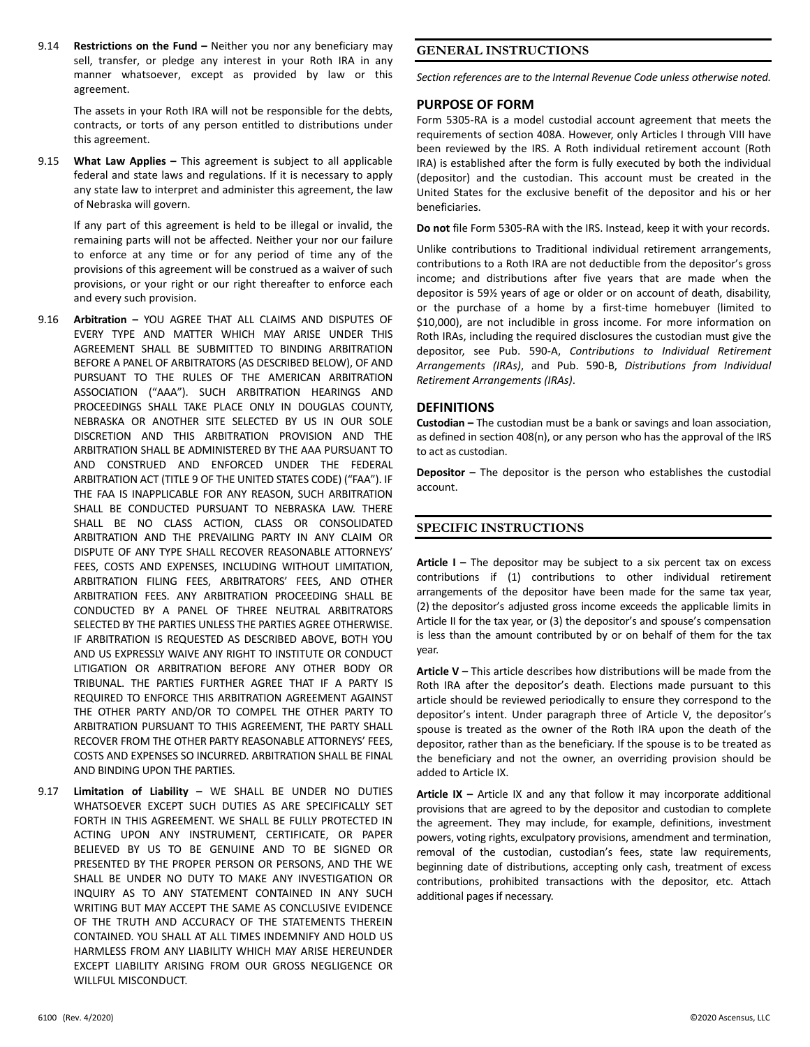9.14 **Restrictions on the Fund –** Neither you nor any beneficiary may sell, transfer, or pledge any interest in your Roth IRA in any manner whatsoever, except as provided by law or this agreement.

> The assets in your Roth IRA will not be responsible for the debts, contracts, or torts of any person entitled to distributions under this agreement.

9.15 **What Law Applies -** This agreement is subject to all applicable federal and state laws and regulations. If it is necessary to apply any state law to interpret and administer this agreement, the law of Nebraska will govern.

 If any part of this agreement is held to be illegal or invalid, the remaining parts will not be affected. Neither your nor our failure to enforce at any time or for any period of time any of the provisions of this agreement will be construed as a waiver of such provisions, or your right or our right thereafter to enforce each and every such provision.

- 9.16 **Arbitration –** YOU AGREE THAT ALL CLAIMS AND DISPUTES OF EVERY TYPE AND MATTER WHICH MAY ARISE UNDER THIS AGREEMENT SHALL BE SUBMITTED TO BINDING ARBITRATION BEFORE A PANEL OF ARBITRATORS (AS DESCRIBED BELOW), OF AND PURSUANT TO THE RULES OF THE AMERICAN ARBITRATION ASSOCIATION ("AAA"). SUCH ARBITRATION HEARINGS AND PROCEEDINGS SHALL TAKE PLACE ONLY IN DOUGLAS COUNTY, NEBRASKA OR ANOTHER SITE SELECTED BY US IN OUR SOLE DISCRETION AND THIS ARBITRATION PROVISION AND THE ARBITRATION SHALL BE ADMINISTERED BY THE AAA PURSUANT TO AND CONSTRUED AND ENFORCED UNDER THE FEDERAL ARBITRATION ACT (TITLE 9 OF THE UNITED STATES CODE) ("FAA"). IF THE FAA IS INAPPLICABLE FOR ANY REASON, SUCH ARBITRATION SHALL BE CONDUCTED PURSUANT TO NEBRASKA LAW. THERE SHALL BE NO CLASS ACTION, CLASS OR CONSOLIDATED ARBITRATION AND THE PREVAILING PARTY IN ANY CLAIM OR DISPUTE OF ANY TYPE SHALL RECOVER REASONABLE ATTORNEYS' FEES, COSTS AND EXPENSES, INCLUDING WITHOUT LIMITATION, ARBITRATION FILING FEES, ARBITRATORS' FEES, AND OTHER ARBITRATION FEES. ANY ARBITRATION PROCEEDING SHALL BE CONDUCTED BY A PANEL OF THREE NEUTRAL ARBITRATORS SELECTED BY THE PARTIES UNLESS THE PARTIES AGREE OTHERWISE. IF ARBITRATION IS REQUESTED AS DESCRIBED ABOVE, BOTH YOU AND US EXPRESSLY WAIVE ANY RIGHT TO INSTITUTE OR CONDUCT LITIGATION OR ARBITRATION BEFORE ANY OTHER BODY OR TRIBUNAL. THE PARTIES FURTHER AGREE THAT IF A PARTY IS REQUIRED TO ENFORCE THIS ARBITRATION AGREEMENT AGAINST THE OTHER PARTY AND/OR TO COMPEL THE OTHER PARTY TO ARBITRATION PURSUANT TO THIS AGREEMENT, THE PARTY SHALL RECOVER FROM THE OTHER PARTY REASONABLE ATTORNEYS' FEES, COSTS AND EXPENSES SO INCURRED. ARBITRATION SHALL BE FINAL AND BINDING UPON THE PARTIES.
- 9.17 **Limitation of Liability –** WE SHALL BE UNDER NO DUTIES WHATSOEVER EXCEPT SUCH DUTIES AS ARE SPECIFICALLY SET FORTH IN THIS AGREEMENT. WE SHALL BE FULLY PROTECTED IN ACTING UPON ANY INSTRUMENT, CERTIFICATE, OR PAPER BELIEVED BY US TO BE GENUINE AND TO BE SIGNED OR PRESENTED BY THE PROPER PERSON OR PERSONS, AND THE WE SHALL BE UNDER NO DUTY TO MAKE ANY INVESTIGATION OR INQUIRY AS TO ANY STATEMENT CONTAINED IN ANY SUCH WRITING BUT MAY ACCEPT THE SAME AS CONCLUSIVE EVIDENCE OF THE TRUTH AND ACCURACY OF THE STATEMENTS THEREIN CONTAINED. YOU SHALL AT ALL TIMES INDEMNIFY AND HOLD US HARMLESS FROM ANY LIABILITY WHICH MAY ARISE HEREUNDER EXCEPT LIABILITY ARISING FROM OUR GROSS NEGLIGENCE OR WILLFUL MISCONDUCT.

# **GENERAL INSTRUCTIONS**

*Section references are to the Internal Revenue Code unless otherwise noted.* 

# **PURPOSE OF FORM**

Form 5305-RA is a model custodial account agreement that meets the requirements of section 408A. However, only Articles I through VIII have been reviewed by the IRS. A Roth individual retirement account (Roth IRA) is established after the form is fully executed by both the individual (depositor) and the custodian. This account must be created in the United States for the exclusive benefit of the depositor and his or her beneficiaries.

**Do not** file Form 5305‐RA with the IRS. Instead, keep it with your records.

Unlike contributions to Traditional individual retirement arrangements, contributions to a Roth IRA are not deductible from the depositor's gross income; and distributions after five years that are made when the depositor is 59½ years of age or older or on account of death, disability, or the purchase of a home by a first-time homebuyer (limited to \$10,000), are not includible in gross income. For more information on Roth IRAs, including the required disclosures the custodian must give the depositor, see Pub. 590‐A, *Contributions to Individual Retirement Arrangements (IRAs)*, and Pub. 590‐B, *Distributions from Individual Retirement Arrangements (IRAs)*.

# **DEFINITIONS**

**Custodian –** The custodian must be a bank or savings and loan association, as defined in section 408(n), or any person who has the approval of the IRS to act as custodian.

**Depositor -** The depositor is the person who establishes the custodial account.

# **SPECIFIC INSTRUCTIONS**

Article I – The depositor may be subject to a six percent tax on excess contributions if (1) contributions to other individual retirement arrangements of the depositor have been made for the same tax year, (2) the depositor's adjusted gross income exceeds the applicable limits in Article II for the tax year, or (3) the depositor's and spouse's compensation is less than the amount contributed by or on behalf of them for the tax year.

**Article V –** This article describes how distributions will be made from the Roth IRA after the depositor's death. Elections made pursuant to this article should be reviewed periodically to ensure they correspond to the depositor's intent. Under paragraph three of Article V, the depositor's spouse is treated as the owner of the Roth IRA upon the death of the depositor, rather than as the beneficiary. If the spouse is to be treated as the beneficiary and not the owner, an overriding provision should be added to Article IX.

**Article IX –** Article IX and any that follow it may incorporate additional provisions that are agreed to by the depositor and custodian to complete the agreement. They may include, for example, definitions, investment powers, voting rights, exculpatory provisions, amendment and termination, removal of the custodian, custodian's fees, state law requirements, beginning date of distributions, accepting only cash, treatment of excess contributions, prohibited transactions with the depositor, etc. Attach additional pages if necessary.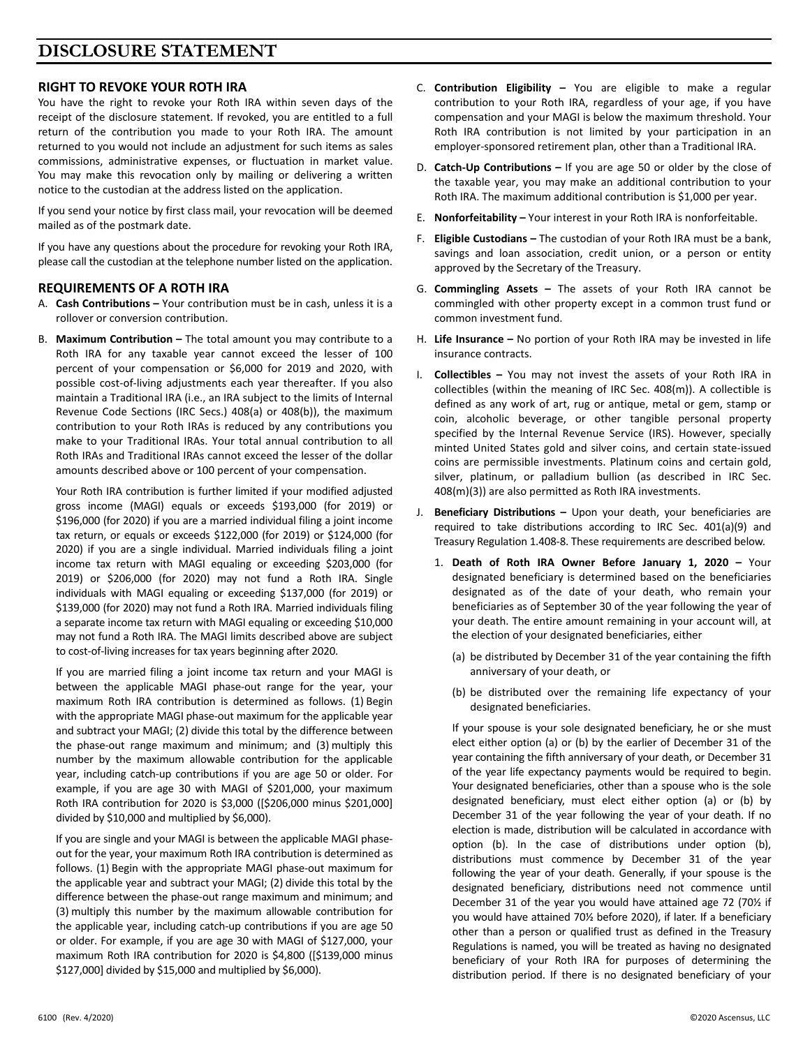# **DISCLOSURE STATEMENT**

# **RIGHT TO REVOKE YOUR ROTH IRA**

You have the right to revoke your Roth IRA within seven days of the receipt of the disclosure statement. If revoked, you are entitled to a full return of the contribution you made to your Roth IRA. The amount returned to you would not include an adjustment for such items as sales commissions, administrative expenses, or fluctuation in market value. You may make this revocation only by mailing or delivering a written notice to the custodian at the address listed on the application.

If you send your notice by first class mail, your revocation will be deemed mailed as of the postmark date.

If you have any questions about the procedure for revoking your Roth IRA, please call the custodian at the telephone number listed on the application.

# **REQUIREMENTS OF A ROTH IRA**

- A. **Cash Contributions –** Your contribution must be in cash, unless it is a rollover or conversion contribution.
- B. **Maximum Contribution –** The total amount you may contribute to a Roth IRA for any taxable year cannot exceed the lesser of 100 percent of your compensation or \$6,000 for 2019 and 2020, with possible cost‐of‐living adjustments each year thereafter. If you also maintain a Traditional IRA (i.e., an IRA subject to the limits of Internal Revenue Code Sections (IRC Secs.) 408(a) or 408(b)), the maximum contribution to your Roth IRAs is reduced by any contributions you make to your Traditional IRAs. Your total annual contribution to all Roth IRAs and Traditional IRAs cannot exceed the lesser of the dollar amounts described above or 100 percent of your compensation.

 Your Roth IRA contribution is further limited if your modified adjusted gross income (MAGI) equals or exceeds \$193,000 (for 2019) or \$196,000 (for 2020) if you are a married individual filing a joint income tax return, or equals or exceeds \$122,000 (for 2019) or \$124,000 (for 2020) if you are a single individual. Married individuals filing a joint income tax return with MAGI equaling or exceeding \$203,000 (for 2019) or \$206,000 (for 2020) may not fund a Roth IRA. Single individuals with MAGI equaling or exceeding \$137,000 (for 2019) or \$139,000 (for 2020) may not fund a Roth IRA. Married individuals filing a separate income tax return with MAGI equaling or exceeding \$10,000 may not fund a Roth IRA. The MAGI limits described above are subject to cost‐of‐living increases for tax years beginning after 2020.

 If you are married filing a joint income tax return and your MAGI is between the applicable MAGI phase-out range for the year, your maximum Roth IRA contribution is determined as follows. (1) Begin with the appropriate MAGI phase-out maximum for the applicable year and subtract your MAGI; (2) divide this total by the difference between the phase‐out range maximum and minimum; and (3) multiply this number by the maximum allowable contribution for the applicable year, including catch-up contributions if you are age 50 or older. For example, if you are age 30 with MAGI of \$201,000, your maximum Roth IRA contribution for 2020 is \$3,000 ([\$206,000 minus \$201,000] divided by \$10,000 and multiplied by \$6,000).

 If you are single and your MAGI is between the applicable MAGI phase‐ out for the year, your maximum Roth IRA contribution is determined as follows. (1) Begin with the appropriate MAGI phase‐out maximum for the applicable year and subtract your MAGI; (2) divide this total by the difference between the phase‐out range maximum and minimum; and (3) multiply this number by the maximum allowable contribution for the applicable year, including catch‐up contributions if you are age 50 or older. For example, if you are age 30 with MAGI of \$127,000, your maximum Roth IRA contribution for 2020 is \$4,800 ([\$139,000 minus \$127,000] divided by \$15,000 and multiplied by \$6,000).

- C. **Contribution Eligibility –** You are eligible to make a regular contribution to your Roth IRA, regardless of your age, if you have compensation and your MAGI is below the maximum threshold. Your Roth IRA contribution is not limited by your participation in an employer‐sponsored retirement plan, other than a Traditional IRA.
- D. **Catch-Up Contributions –** If you are age 50 or older by the close of the taxable year, you may make an additional contribution to your Roth IRA. The maximum additional contribution is \$1,000 per year.
- E. **Nonforfeitability** Your interest in your Roth IRA is nonforfeitable.
- F. **Eligible Custodians –** The custodian of your Roth IRA must be a bank, savings and loan association, credit union, or a person or entity approved by the Secretary of the Treasury.
- G. **Commingling Assets –** The assets of your Roth IRA cannot be commingled with other property except in a common trust fund or common investment fund.
- H. **Life Insurance –** No portion of your Roth IRA may be invested in life insurance contracts.
- I. **Collectibles**  You may not invest the assets of your Roth IRA in collectibles (within the meaning of IRC Sec. 408(m)). A collectible is defined as any work of art, rug or antique, metal or gem, stamp or coin, alcoholic beverage, or other tangible personal property specified by the Internal Revenue Service (IRS). However, specially minted United States gold and silver coins, and certain state‐issued coins are permissible investments. Platinum coins and certain gold, silver, platinum, or palladium bullion (as described in IRC Sec. 408(m)(3)) are also permitted as Roth IRA investments.
- J. **Beneficiary Distributions**  Upon your death, your beneficiaries are required to take distributions according to IRC Sec. 401(a)(9) and Treasury Regulation 1.408‐8. These requirements are described below.
	- 1. **Death of Roth IRA Owner Before January 1, 2020**  Your designated beneficiary is determined based on the beneficiaries designated as of the date of your death, who remain your beneficiaries as of September 30 of the year following the year of your death. The entire amount remaining in your account will, at the election of your designated beneficiaries, either
		- (a) be distributed by December 31 of the year containing the fifth anniversary of your death, or
		- (b) be distributed over the remaining life expectancy of your designated beneficiaries.

 If your spouse is your sole designated beneficiary, he or she must elect either option (a) or (b) by the earlier of December 31 of the year containing the fifth anniversary of your death, or December 31 of the year life expectancy payments would be required to begin. Your designated beneficiaries, other than a spouse who is the sole designated beneficiary, must elect either option (a) or (b) by December 31 of the year following the year of your death. If no election is made, distribution will be calculated in accordance with option (b). In the case of distributions under option (b), distributions must commence by December 31 of the year following the year of your death. Generally, if your spouse is the designated beneficiary, distributions need not commence until December 31 of the year you would have attained age 72 (70% if you would have attained 70½ before 2020), if later. If a beneficiary other than a person or qualified trust as defined in the Treasury Regulations is named, you will be treated as having no designated beneficiary of your Roth IRA for purposes of determining the distribution period. If there is no designated beneficiary of your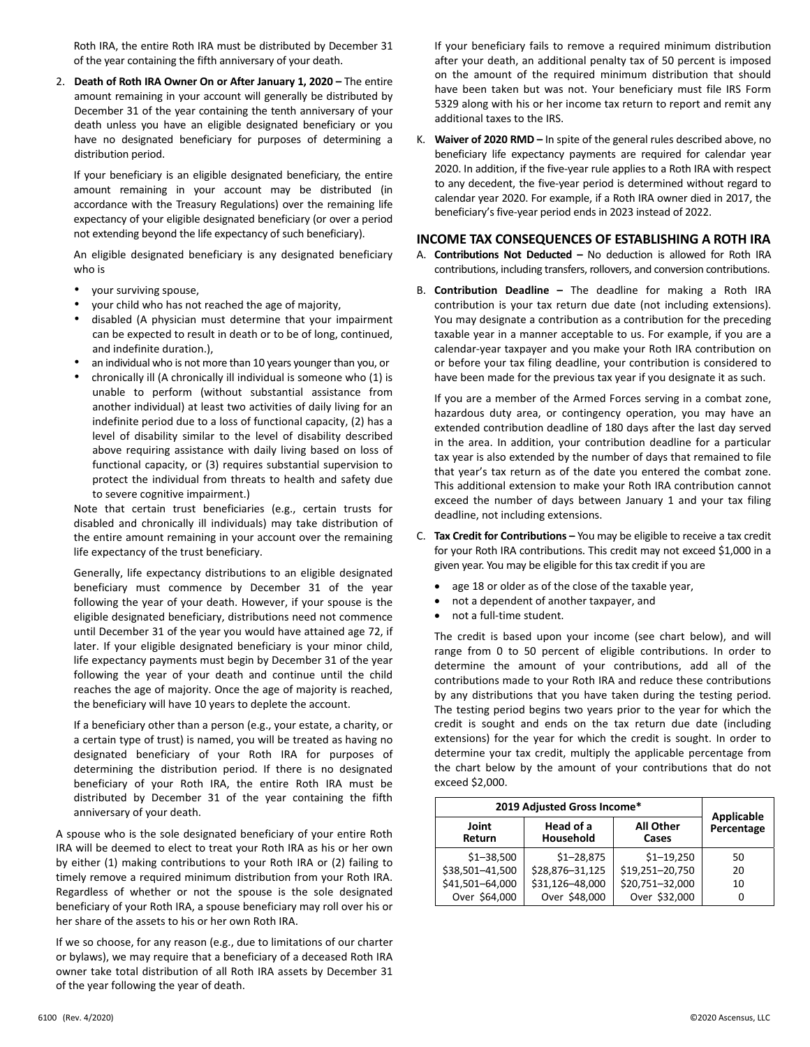Roth IRA, the entire Roth IRA must be distributed by December 31 of the year containing the fifth anniversary of your death.

2. **Death of Roth IRA Owner On or After January 1, 2020 –** The entire amount remaining in your account will generally be distributed by December 31 of the year containing the tenth anniversary of your death unless you have an eligible designated beneficiary or you have no designated beneficiary for purposes of determining a distribution period.

 If your beneficiary is an eligible designated beneficiary, the entire amount remaining in your account may be distributed (in accordance with the Treasury Regulations) over the remaining life expectancy of your eligible designated beneficiary (or over a period not extending beyond the life expectancy of such beneficiary).

 An eligible designated beneficiary is any designated beneficiary who is

- your surviving spouse,
- your child who has not reached the age of majority,
- disabled (A physician must determine that your impairment can be expected to result in death or to be of long, continued, and indefinite duration.),
- an individual who is not more than 10 years younger than you, or
- chronically ill (A chronically ill individual is someone who (1) is unable to perform (without substantial assistance from another individual) at least two activities of daily living for an indefinite period due to a loss of functional capacity, (2) has a level of disability similar to the level of disability described above requiring assistance with daily living based on loss of functional capacity, or (3) requires substantial supervision to protect the individual from threats to health and safety due to severe cognitive impairment.)

 Note that certain trust beneficiaries (e.g., certain trusts for disabled and chronically ill individuals) may take distribution of the entire amount remaining in your account over the remaining life expectancy of the trust beneficiary.

 Generally, life expectancy distributions to an eligible designated beneficiary must commence by December 31 of the year following the year of your death. However, if your spouse is the eligible designated beneficiary, distributions need not commence until December 31 of the year you would have attained age 72, if later. If your eligible designated beneficiary is your minor child, life expectancy payments must begin by December 31 of the year following the year of your death and continue until the child reaches the age of majority. Once the age of majority is reached, the beneficiary will have 10 years to deplete the account.

 If a beneficiary other than a person (e.g., your estate, a charity, or a certain type of trust) is named, you will be treated as having no designated beneficiary of your Roth IRA for purposes of determining the distribution period. If there is no designated beneficiary of your Roth IRA, the entire Roth IRA must be distributed by December 31 of the year containing the fifth anniversary of your death.

 A spouse who is the sole designated beneficiary of your entire Roth IRA will be deemed to elect to treat your Roth IRA as his or her own by either (1) making contributions to your Roth IRA or (2) failing to timely remove a required minimum distribution from your Roth IRA. Regardless of whether or not the spouse is the sole designated beneficiary of your Roth IRA, a spouse beneficiary may roll over his or her share of the assets to his or her own Roth IRA.

 If we so choose, for any reason (e.g., due to limitations of our charter or bylaws), we may require that a beneficiary of a deceased Roth IRA owner take total distribution of all Roth IRA assets by December 31 of the year following the year of death.

 If your beneficiary fails to remove a required minimum distribution after your death, an additional penalty tax of 50 percent is imposed on the amount of the required minimum distribution that should have been taken but was not. Your beneficiary must file IRS Form 5329 along with his or her income tax return to report and remit any additional taxes to the IRS.

K. **Waiver of 2020 RMD –** In spite of the general rules described above, no beneficiary life expectancy payments are required for calendar year 2020. In addition, if the five‐year rule applies to a Roth IRA with respect to any decedent, the five‐year period is determined without regard to calendar year 2020. For example, if a Roth IRA owner died in 2017, the beneficiary's five‐year period ends in 2023 instead of 2022.

# **INCOME TAX CONSEQUENCES OF ESTABLISHING A ROTH IRA**

- A. **Contributions Not Deducted –** No deduction is allowed for Roth IRA contributions, including transfers, rollovers, and conversion contributions.
- B. **Contribution Deadline –** The deadline for making a Roth IRA contribution is your tax return due date (not including extensions). You may designate a contribution as a contribution for the preceding taxable year in a manner acceptable to us. For example, if you are a calendar‐year taxpayer and you make your Roth IRA contribution on or before your tax filing deadline, your contribution is considered to have been made for the previous tax year if you designate it as such.

 If you are a member of the Armed Forces serving in a combat zone, hazardous duty area, or contingency operation, you may have an extended contribution deadline of 180 days after the last day served in the area. In addition, your contribution deadline for a particular tax year is also extended by the number of days that remained to file that year's tax return as of the date you entered the combat zone. This additional extension to make your Roth IRA contribution cannot exceed the number of days between January 1 and your tax filing deadline, not including extensions.

- C. **Tax Credit for Contributions –** You may be eligible to receive a tax credit for your Roth IRA contributions. This credit may not exceed \$1,000 in a given year. You may be eligible for this tax credit if you are
	- age 18 or older as of the close of the taxable year,
	- not a dependent of another taxpayer, and
	- not a full-time student.

 The credit is based upon your income (see chart below), and will range from 0 to 50 percent of eligible contributions. In order to determine the amount of your contributions, add all of the contributions made to your Roth IRA and reduce these contributions by any distributions that you have taken during the testing period. The testing period begins two years prior to the year for which the credit is sought and ends on the tax return due date (including extensions) for the year for which the credit is sought. In order to determine your tax credit, multiply the applicable percentage from the chart below by the amount of your contributions that do not exceed \$2,000.

| 2019 Adjusted Gross Income*        | Applicable             |                           |            |
|------------------------------------|------------------------|---------------------------|------------|
| Joint<br>Return                    | Head of a<br>Household | <b>All Other</b><br>Cases | Percentage |
| $$1 - 38,500$                      | $$1 - 28,875$          | $$1 - 19,250$             | 50         |
| \$38,501-41,500                    | \$28,876-31,125        | \$19,251-20,750           | 20         |
| \$31,126-48,000<br>\$41,501-64,000 |                        | \$20,751-32,000           | 10         |
| Over \$64,000                      | Over \$48,000          | Over \$32,000             |            |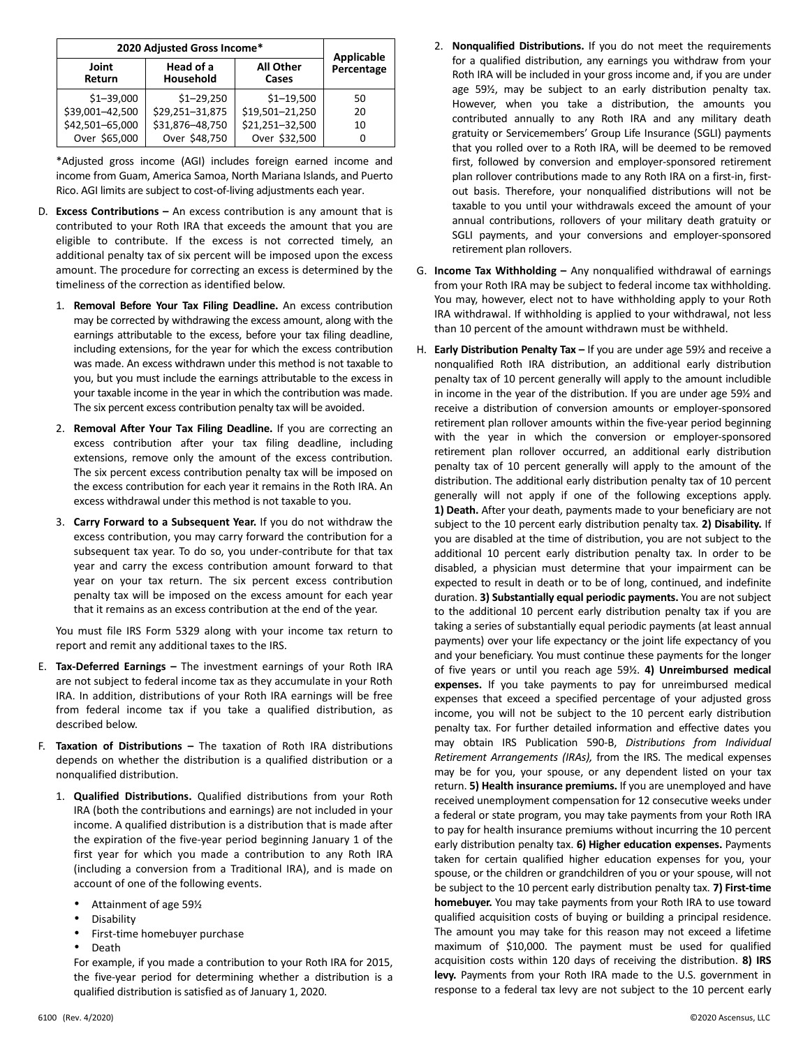| 2020 Adjusted Gross Income*        | Applicable             |                           |            |
|------------------------------------|------------------------|---------------------------|------------|
| Joint<br>Return                    | Head of a<br>Household | <b>All Other</b><br>Cases | Percentage |
| $$1 - 39,000$                      | $$1 - 29,250$          | $$1 - 19,500$             | 50         |
| \$39,001-42,500                    | \$29,251-31,875        | \$19,501-21,250           | 20         |
| \$42,501-65,000<br>\$31,876-48,750 |                        | \$21,251-32,500           | 10         |
| Over \$65,000                      | Over \$48,750          | Over \$32,500             |            |

 \*Adjusted gross income (AGI) includes foreign earned income and income from Guam, America Samoa, North Mariana Islands, and Puerto Rico. AGI limits are subject to cost‐of‐living adjustments each year.

- D. **Excess Contributions –** An excess contribution is any amount that is contributed to your Roth IRA that exceeds the amount that you are eligible to contribute. If the excess is not corrected timely, an additional penalty tax of six percent will be imposed upon the excess amount. The procedure for correcting an excess is determined by the timeliness of the correction as identified below.
	- 1. **Removal Before Your Tax Filing Deadline.**  An excess contribution may be corrected by withdrawing the excess amount, along with the earnings attributable to the excess, before your tax filing deadline, including extensions, for the year for which the excess contribution was made. An excess withdrawn under this method is not taxable to you, but you must include the earnings attributable to the excess in your taxable income in the year in which the contribution was made. The six percent excess contribution penalty tax will be avoided.
	- 2. **Removal After Your Tax Filing Deadline.** If you are correcting an excess contribution after your tax filing deadline, including extensions, remove only the amount of the excess contribution. The six percent excess contribution penalty tax will be imposed on the excess contribution for each year it remains in the Roth IRA. An excess withdrawal under this method is not taxable to you.
	- 3. **Carry Forward to a Subsequent Year.** If you do not withdraw the excess contribution, you may carry forward the contribution for a subsequent tax year. To do so, you under-contribute for that tax year and carry the excess contribution amount forward to that year on your tax return. The six percent excess contribution penalty tax will be imposed on the excess amount for each year that it remains as an excess contribution at the end of the year.

You must file IRS Form 5329 along with your income tax return to report and remit any additional taxes to the IRS.

- E. **Tax‐Deferred Earnings –** The investment earnings of your Roth IRA are not subject to federal income tax as they accumulate in your Roth IRA. In addition, distributions of your Roth IRA earnings will be free from federal income tax if you take a qualified distribution, as described below.
- F. **Taxation of Distributions –** The taxation of Roth IRA distributions depends on whether the distribution is a qualified distribution or a nonqualified distribution.
	- 1. **Qualified Distributions.**  Qualified distributions from your Roth IRA (both the contributions and earnings) are not included in your income. A qualified distribution is a distribution that is made after the expiration of the five‐year period beginning January 1 of the first year for which you made a contribution to any Roth IRA (including a conversion from a Traditional IRA), and is made on account of one of the following events.
		- Attainment of age 59½
		- **Disability**
		- First-time homebuyer purchase
		- Death

 For example, if you made a contribution to your Roth IRA for 2015, the five‐year period for determining whether a distribution is a qualified distribution is satisfied as of January 1, 2020.

- 2. **Nonqualified Distributions.** If you do not meet the requirements for a qualified distribution, any earnings you withdraw from your Roth IRA will be included in your gross income and, if you are under age 59½, may be subject to an early distribution penalty tax. However, when you take a distribution, the amounts you contributed annually to any Roth IRA and any military death gratuity or Servicemembers' Group Life Insurance (SGLI) payments that you rolled over to a Roth IRA, will be deemed to be removed first, followed by conversion and employer‐sponsored retirement plan rollover contributions made to any Roth IRA on a first‐in, first‐ out basis. Therefore, your nonqualified distributions will not be taxable to you until your withdrawals exceed the amount of your annual contributions, rollovers of your military death gratuity or SGLI payments, and your conversions and employer‐sponsored retirement plan rollovers.
- G. **Income Tax Withholding –** Any nonqualified withdrawal of earnings from your Roth IRA may be subject to federal income tax withholding. You may, however, elect not to have withholding apply to your Roth IRA withdrawal. If withholding is applied to your withdrawal, not less than 10 percent of the amount withdrawn must be withheld.
- H. **Early Distribution Penalty Tax** If you are under age 59½ and receive a nonqualified Roth IRA distribution, an additional early distribution penalty tax of 10 percent generally will apply to the amount includible in income in the year of the distribution. If you are under age 59½ and receive a distribution of conversion amounts or employer‐sponsored retirement plan rollover amounts within the five‐year period beginning with the year in which the conversion or employer-sponsored retirement plan rollover occurred, an additional early distribution penalty tax of 10 percent generally will apply to the amount of the distribution. The additional early distribution penalty tax of 10 percent generally will not apply if one of the following exceptions apply. **1) Death.** After your death, payments made to your beneficiary are not subject to the 10 percent early distribution penalty tax. **2) Disability.** If you are disabled at the time of distribution, you are not subject to the additional 10 percent early distribution penalty tax. In order to be disabled, a physician must determine that your impairment can be expected to result in death or to be of long, continued, and indefinite duration. **3) Substantially equal periodic payments.** You are not subject to the additional 10 percent early distribution penalty tax if you are taking a series of substantially equal periodic payments (at least annual payments) over your life expectancy or the joint life expectancy of you and your beneficiary. You must continue these payments for the longer of five years or until you reach age 59½. **4) Unreimbursed medical**  expenses. If you take payments to pay for unreimbursed medical expenses that exceed a specified percentage of your adjusted gross income, you will not be subject to the 10 percent early distribution penalty tax. For further detailed information and effective dates you may obtain IRS Publication 590‐B, *Distributions from Individual Retirement Arrangements (IRAs),* from the IRS. The medical expenses may be for you, your spouse, or any dependent listed on your tax return. **5) Health insurance premiums.** If you are unemployed and have received unemployment compensation for 12 consecutive weeks under a federal or state program, you may take payments from your Roth IRA to pay for health insurance premiums without incurring the 10 percent early distribution penalty tax. **6) Higher education expenses.** Payments taken for certain qualified higher education expenses for you, your spouse, or the children or grandchildren of you or your spouse, will not be subject to the 10 percent early distribution penalty tax. **7) First‐time homebuyer.** You may take payments from your Roth IRA to use toward qualified acquisition costs of buying or building a principal residence. The amount you may take for this reason may not exceed a lifetime maximum of \$10,000. The payment must be used for qualified acquisition costs within 120 days of receiving the distribution. **8) IRS**  levy. Payments from your Roth IRA made to the U.S. government in response to a federal tax levy are not subject to the 10 percent early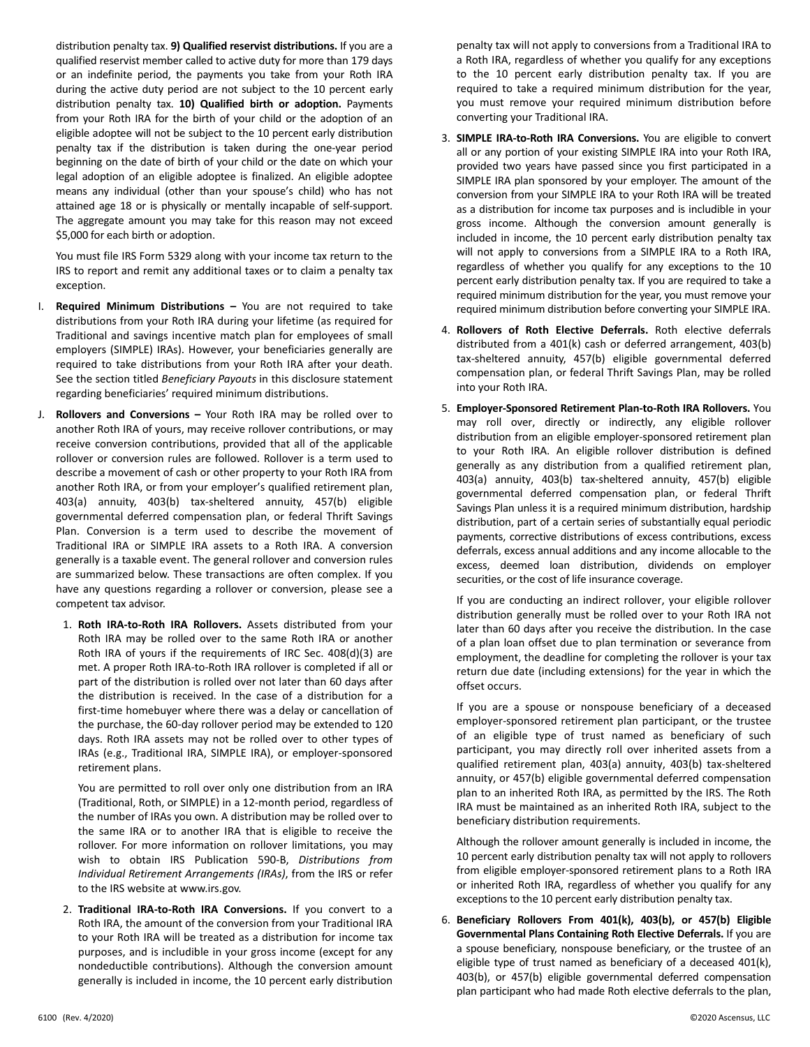distribution penalty tax. **9) Qualified reservist distributions.** If you are a qualified reservist member called to active duty for more than 179 days or an indefinite period, the payments you take from your Roth IRA during the active duty period are not subject to the 10 percent early distribution penalty tax. **10) Qualified birth or adoption.** Payments from your Roth IRA for the birth of your child or the adoption of an eligible adoptee will not be subject to the 10 percent early distribution penalty tax if the distribution is taken during the one-year period beginning on the date of birth of your child or the date on which your legal adoption of an eligible adoptee is finalized. An eligible adoptee means any individual (other than your spouse's child) who has not attained age 18 or is physically or mentally incapable of self‐support. The aggregate amount you may take for this reason may not exceed \$5,000 for each birth or adoption.

 You must file IRS Form 5329 along with your income tax return to the IRS to report and remit any additional taxes or to claim a penalty tax exception.

- I. **Required Minimum Distributions**  You are not required to take distributions from your Roth IRA during your lifetime (as required for Traditional and savings incentive match plan for employees of small employers (SIMPLE) IRAs). However, your beneficiaries generally are required to take distributions from your Roth IRA after your death. See the section titled *Beneficiary Payouts* in this disclosure statement regarding beneficiaries' required minimum distributions.
- J. **Rollovers and Conversions**  Your Roth IRA may be rolled over to another Roth IRA of yours, may receive rollover contributions, or may receive conversion contributions, provided that all of the applicable rollover or conversion rules are followed. Rollover is a term used to describe a movement of cash or other property to your Roth IRA from another Roth IRA, or from your employer's qualified retirement plan, 403(a) annuity, 403(b) tax‐sheltered annuity, 457(b) eligible governmental deferred compensation plan, or federal Thrift Savings Plan. Conversion is a term used to describe the movement of Traditional IRA or SIMPLE IRA assets to a Roth IRA. A conversion generally is a taxable event. The general rollover and conversion rules are summarized below. These transactions are often complex. If you have any questions regarding a rollover or conversion, please see a competent tax advisor.
	- 1. **Roth IRA‐to‐Roth IRA Rollovers.**  Assets distributed from your Roth IRA may be rolled over to the same Roth IRA or another Roth IRA of yours if the requirements of IRC Sec. 408(d)(3) are met. A proper Roth IRA‐to‐Roth IRA rollover is completed if all or part of the distribution is rolled over not later than 60 days after the distribution is received. In the case of a distribution for a first-time homebuyer where there was a delay or cancellation of the purchase, the 60‐day rollover period may be extended to 120 days. Roth IRA assets may not be rolled over to other types of IRAs (e.g., Traditional IRA, SIMPLE IRA), or employer‐sponsored retirement plans.

 You are permitted to roll over only one distribution from an IRA (Traditional, Roth, or SIMPLE) in a 12‐month period, regardless of the number of IRAs you own. A distribution may be rolled over to the same IRA or to another IRA that is eligible to receive the rollover. For more information on rollover limitations, you may wish to obtain IRS Publication 590‐B, *Distributions from Individual Retirement Arrangements (IRAs)*, from the IRS or refer to the IRS website at www.irs.gov.

 2. **Traditional IRA‐to‐Roth IRA Conversions.**  If you convert to a Roth IRA, the amount of the conversion from your Traditional IRA to your Roth IRA will be treated as a distribution for income tax purposes, and is includible in your gross income (except for any nondeductible contributions). Although the conversion amount generally is included in income, the 10 percent early distribution

penalty tax will not apply to conversions from a Traditional IRA to a Roth IRA, regardless of whether you qualify for any exceptions to the 10 percent early distribution penalty tax. If you are required to take a required minimum distribution for the year, you must remove your required minimum distribution before converting your Traditional IRA.

- 3. **SIMPLE IRA‐to‐Roth IRA Conversions.** You are eligible to convert all or any portion of your existing SIMPLE IRA into your Roth IRA, provided two years have passed since you first participated in a SIMPLE IRA plan sponsored by your employer. The amount of the conversion from your SIMPLE IRA to your Roth IRA will be treated as a distribution for income tax purposes and is includible in your gross income. Although the conversion amount generally is included in income, the 10 percent early distribution penalty tax will not apply to conversions from a SIMPLE IRA to a Roth IRA, regardless of whether you qualify for any exceptions to the 10 percent early distribution penalty tax. If you are required to take a required minimum distribution for the year, you must remove your required minimum distribution before converting your SIMPLE IRA.
- 4. **Rollovers of Roth Elective Deferrals.**  Roth elective deferrals distributed from a 401(k) cash or deferred arrangement, 403(b) tax‐sheltered annuity, 457(b) eligible governmental deferred compensation plan, or federal Thrift Savings Plan, may be rolled into your Roth IRA.
- 5. **Employer‐Sponsored Retirement Plan‐to‐Roth IRA Rollovers.** You may roll over, directly or indirectly, any eligible rollover distribution from an eligible employer‐sponsored retirement plan to your Roth IRA. An eligible rollover distribution is defined generally as any distribution from a qualified retirement plan, 403(a) annuity, 403(b) tax‐sheltered annuity, 457(b) eligible governmental deferred compensation plan, or federal Thrift Savings Plan unless it is a required minimum distribution, hardship distribution, part of a certain series of substantially equal periodic payments, corrective distributions of excess contributions, excess deferrals, excess annual additions and any income allocable to the excess, deemed loan distribution, dividends on employer securities, or the cost of life insurance coverage.

 If you are conducting an indirect rollover, your eligible rollover distribution generally must be rolled over to your Roth IRA not later than 60 days after you receive the distribution. In the case of a plan loan offset due to plan termination or severance from employment, the deadline for completing the rollover is your tax return due date (including extensions) for the year in which the offset occurs.

 If you are a spouse or nonspouse beneficiary of a deceased employer‐sponsored retirement plan participant, or the trustee of an eligible type of trust named as beneficiary of such participant, you may directly roll over inherited assets from a qualified retirement plan, 403(a) annuity, 403(b) tax‐sheltered annuity, or 457(b) eligible governmental deferred compensation plan to an inherited Roth IRA, as permitted by the IRS. The Roth IRA must be maintained as an inherited Roth IRA, subject to the beneficiary distribution requirements.

 Although the rollover amount generally is included in income, the 10 percent early distribution penalty tax will not apply to rollovers from eligible employer-sponsored retirement plans to a Roth IRA or inherited Roth IRA, regardless of whether you qualify for any exceptions to the 10 percent early distribution penalty tax.

 6. **Beneficiary Rollovers From 401(k), 403(b), or 457(b) Eligible Governmental Plans Containing Roth Elective Deferrals.** If you are a spouse beneficiary, nonspouse beneficiary, or the trustee of an eligible type of trust named as beneficiary of a deceased 401(k), 403(b), or 457(b) eligible governmental deferred compensation plan participant who had made Roth elective deferrals to the plan,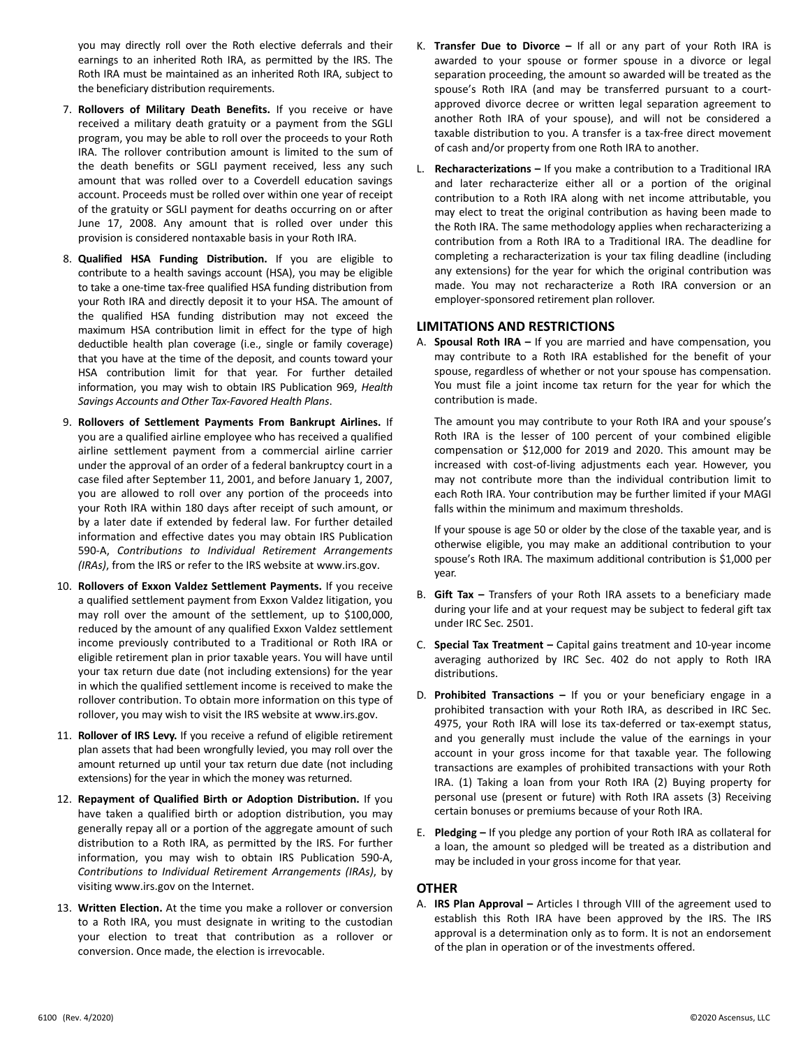you may directly roll over the Roth elective deferrals and their earnings to an inherited Roth IRA, as permitted by the IRS. The Roth IRA must be maintained as an inherited Roth IRA, subject to the beneficiary distribution requirements.

- 7. **Rollovers of Military Death Benefits.**  If you receive or have received a military death gratuity or a payment from the SGLI program, you may be able to roll over the proceeds to your Roth IRA. The rollover contribution amount is limited to the sum of the death benefits or SGLI payment received, less any such amount that was rolled over to a Coverdell education savings account. Proceeds must be rolled over within one year of receipt of the gratuity or SGLI payment for deaths occurring on or after June 17, 2008. Any amount that is rolled over under this provision is considered nontaxable basis in your Roth IRA.
- 8. **Qualified HSA Funding Distribution.**  If you are eligible to contribute to a health savings account (HSA), you may be eligible to take a one-time tax-free qualified HSA funding distribution from your Roth IRA and directly deposit it to your HSA. The amount of the qualified HSA funding distribution may not exceed the maximum HSA contribution limit in effect for the type of high deductible health plan coverage (i.e., single or family coverage) that you have at the time of the deposit, and counts toward your HSA contribution limit for that year. For further detailed information, you may wish to obtain IRS Publication 969, *Health Savings Accounts and Other Tax‐Favored Health Plans*.
- 9. **Rollovers of Settlement Payments From Bankrupt Airlines.**  If you are a qualified airline employee who has received a qualified airline settlement payment from a commercial airline carrier under the approval of an order of a federal bankruptcy court in a case filed after September 11, 2001, and before January 1, 2007, you are allowed to roll over any portion of the proceeds into your Roth IRA within 180 days after receipt of such amount, or by a later date if extended by federal law. For further detailed information and effective dates you may obtain IRS Publication 590‐A, *Contributions to Individual Retirement Arrangements (IRAs)*, from the IRS or refer to the IRS website at www.irs.gov.
- 10. **Rollovers of Exxon Valdez Settlement Payments.** If you receive a qualified settlement payment from Exxon Valdez litigation, you may roll over the amount of the settlement, up to \$100,000, reduced by the amount of any qualified Exxon Valdez settlement income previously contributed to a Traditional or Roth IRA or eligible retirement plan in prior taxable years. You will have until your tax return due date (not including extensions) for the year in which the qualified settlement income is received to make the rollover contribution. To obtain more information on this type of rollover, you may wish to visit the IRS website at www.irs.gov.
- 11. **Rollover of IRS Levy.** If you receive a refund of eligible retirement plan assets that had been wrongfully levied, you may roll over the amount returned up until your tax return due date (not including extensions) for the year in which the money was returned.
- 12. **Repayment of Qualified Birth or Adoption Distribution.** If you have taken a qualified birth or adoption distribution, you may generally repay all or a portion of the aggregate amount of such distribution to a Roth IRA, as permitted by the IRS. For further information, you may wish to obtain IRS Publication 590‐A, *Contributions to Individual Retirement Arrangements (IRAs)*, by visiting www.irs.gov on the Internet.
- 13. **Written Election.** At the time you make a rollover or conversion to a Roth IRA, you must designate in writing to the custodian your election to treat that contribution as a rollover or conversion. Once made, the election is irrevocable.
- K. **Transfer Due to Divorce –** If all or any part of your Roth IRA is awarded to your spouse or former spouse in a divorce or legal separation proceeding, the amount so awarded will be treated as the spouse's Roth IRA (and may be transferred pursuant to a courtapproved divorce decree or written legal separation agreement to another Roth IRA of your spouse), and will not be considered a taxable distribution to you. A transfer is a tax‐free direct movement of cash and/or property from one Roth IRA to another.
- L. **Recharacterizations –** If you make a contribution to a Traditional IRA and later recharacterize either all or a portion of the original contribution to a Roth IRA along with net income attributable, you may elect to treat the original contribution as having been made to the Roth IRA. The same methodology applies when recharacterizing a contribution from a Roth IRA to a Traditional IRA. The deadline for completing a recharacterization is your tax filing deadline (including any extensions) for the year for which the original contribution was made. You may not recharacterize a Roth IRA conversion or an employer‐sponsored retirement plan rollover.

# **LIMITATIONS AND RESTRICTIONS**

A. **Spousal Roth IRA –** If you are married and have compensation, you may contribute to a Roth IRA established for the benefit of your spouse, regardless of whether or not your spouse has compensation. You must file a joint income tax return for the year for which the contribution is made.

 The amount you may contribute to your Roth IRA and your spouse's Roth IRA is the lesser of 100 percent of your combined eligible compensation or \$12,000 for 2019 and 2020. This amount may be increased with cost-of-living adjustments each year. However, you may not contribute more than the individual contribution limit to each Roth IRA. Your contribution may be further limited if your MAGI falls within the minimum and maximum thresholds.

 If your spouse is age 50 or older by the close of the taxable year, and is otherwise eligible, you may make an additional contribution to your spouse's Roth IRA. The maximum additional contribution is \$1,000 per year.

- B. **Gift Tax –** Transfers of your Roth IRA assets to a beneficiary made during your life and at your request may be subject to federal gift tax under IRC Sec. 2501.
- C. **Special Tax Treatment –** Capital gains treatment and 10‐year income averaging authorized by IRC Sec. 402 do not apply to Roth IRA distributions.
- D. **Prohibited Transactions -** If you or your beneficiary engage in a prohibited transaction with your Roth IRA, as described in IRC Sec. 4975, your Roth IRA will lose its tax-deferred or tax-exempt status, and you generally must include the value of the earnings in your account in your gross income for that taxable year. The following transactions are examples of prohibited transactions with your Roth IRA. (1) Taking a loan from your Roth IRA (2) Buying property for personal use (present or future) with Roth IRA assets (3) Receiving certain bonuses or premiums because of your Roth IRA.
- E. **Pledging –** If you pledge any portion of your Roth IRA as collateral for a loan, the amount so pledged will be treated as a distribution and may be included in your gross income for that year.

# **OTHER**

A. **IRS Plan Approval –** Articles I through VIII of the agreement used to establish this Roth IRA have been approved by the IRS. The IRS approval is a determination only as to form. It is not an endorsement of the plan in operation or of the investments offered.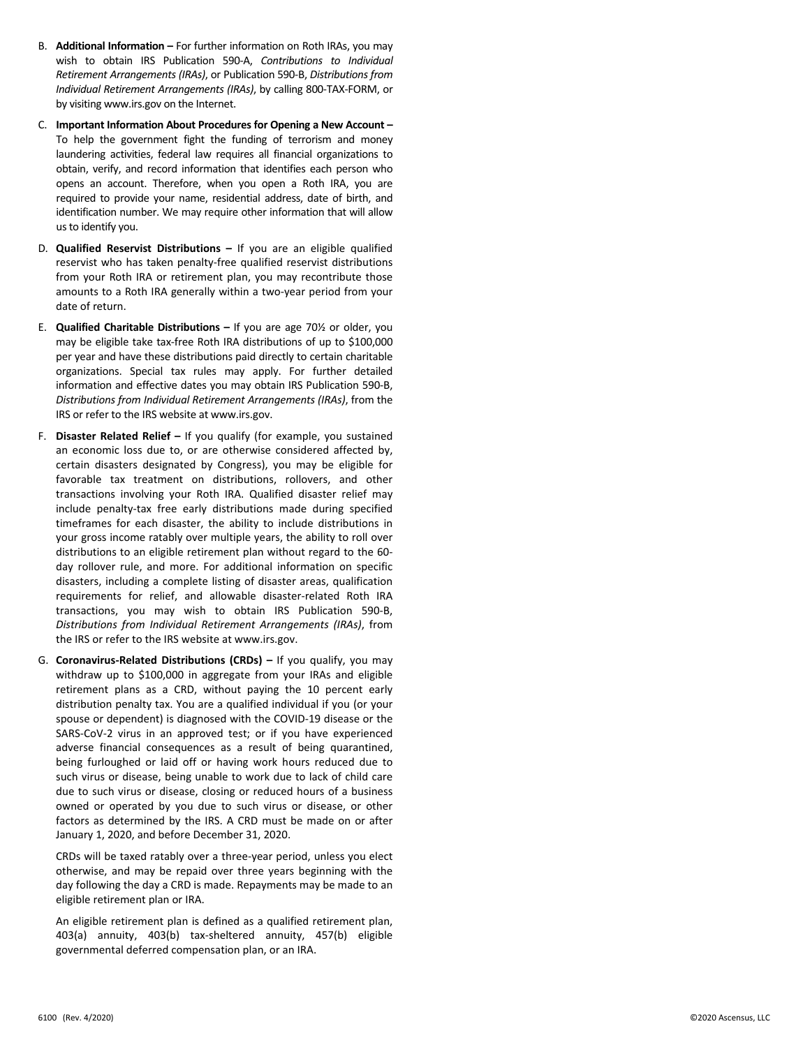- B. **Additional Information –** For further information on Roth IRAs, you may wish to obtain IRS Publication 590‐A, *Contributions to Individual Retirement Arrangements (IRAs)*, or Publication 590‐B, *Distributions from Individual Retirement Arrangements (IRAs)*, by calling 800‐TAX‐FORM, or by visiting www.irs.gov on the Internet.
- C. **Important Information About Procedures for Opening a New Account**  To help the government fight the funding of terrorism and money laundering activities, federal law requires all financial organizations to obtain, verify, and record information that identifies each person who opens an account. Therefore, when you open a Roth IRA, you are required to provide your name, residential address, date of birth, and identification number. We may require other information that will allow us to identify you.
- D. **Qualified Reservist Distributions –** If you are an eligible qualified reservist who has taken penalty-free qualified reservist distributions from your Roth IRA or retirement plan, you may recontribute those amounts to a Roth IRA generally within a two‐year period from your date of return.
- E. **Qualified Charitable Distributions –** If you are age 70½ or older, you may be eligible take tax‐free Roth IRA distributions of up to \$100,000 per year and have these distributions paid directly to certain charitable organizations. Special tax rules may apply. For further detailed information and effective dates you may obtain IRS Publication 590‐B, *Distributions from Individual Retirement Arrangements (IRAs)*, from the IRS or refer to the IRS website at www.irs.gov.
- F. **Disaster Related Relief** If you qualify (for example, you sustained an economic loss due to, or are otherwise considered affected by, certain disasters designated by Congress), you may be eligible for favorable tax treatment on distributions, rollovers, and other transactions involving your Roth IRA. Qualified disaster relief may include penalty‐tax free early distributions made during specified timeframes for each disaster, the ability to include distributions in your gross income ratably over multiple years, the ability to roll over distributions to an eligible retirement plan without regard to the 60‐ day rollover rule, and more. For additional information on specific disasters, including a complete listing of disaster areas, qualification requirements for relief, and allowable disaster‐related Roth IRA transactions, you may wish to obtain IRS Publication 590‐B, *Distributions from Individual Retirement Arrangements (IRAs)*, from the IRS or refer to the IRS website at www.irs.gov.
- G. **Coronavirus‐Related Distributions (CRDs) –** If you qualify, you may withdraw up to \$100,000 in aggregate from your IRAs and eligible retirement plans as a CRD, without paying the 10 percent early distribution penalty tax. You are a qualified individual if you (or your spouse or dependent) is diagnosed with the COVID‐19 disease or the SARS-CoV-2 virus in an approved test; or if you have experienced adverse financial consequences as a result of being quarantined, being furloughed or laid off or having work hours reduced due to such virus or disease, being unable to work due to lack of child care due to such virus or disease, closing or reduced hours of a business owned or operated by you due to such virus or disease, or other factors as determined by the IRS. A CRD must be made on or after January 1, 2020, and before December 31, 2020.

 CRDs will be taxed ratably over a three‐year period, unless you elect otherwise, and may be repaid over three years beginning with the day following the day a CRD is made. Repayments may be made to an eligible retirement plan or IRA.

 An eligible retirement plan is defined as a qualified retirement plan, 403(a) annuity, 403(b) tax‐sheltered annuity, 457(b) eligible governmental deferred compensation plan, or an IRA.